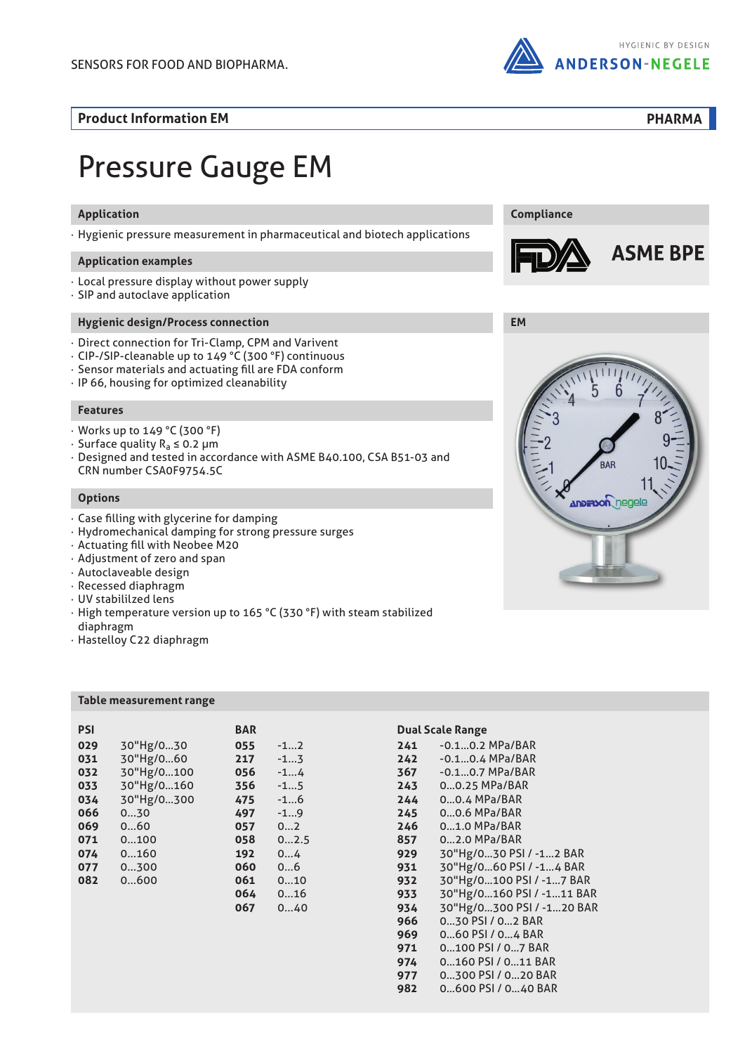

**Compliance**

**Product Information EM**

**PHARMA**

**ASME BPE** 

# Pressure Gauge EM

## **Application**

· Hygienic pressure measurement in pharmaceutical and biotech applications

#### **Application examples**

- · Local pressure display without power supply
- · SIP and autoclave application

## **Hygienic design/Process connection**

- · Direct connection for Tri-Clamp, CPM and Varivent
- · CIP-/SIP-cleanable up to 149 °C (300 °F) continuous
- · Sensor materials and actuating fill are FDA conform
- · IP 66, housing for optimized cleanability

#### **Features**

- · Works up to 149 °C (300 °F)
- · Surface quality Ra ≤ 0.2 µm
- · Designed and tested in accordance with ASME B40.100, CSA B51-03 and CRN number CSA0F9754.5C

#### **Options**

- · Case filling with glycerine for damping
- · Hydromechanical damping for strong pressure surges
- · Actuating fill with Neobee M20
- · Adjustment of zero and span
- · Autoclaveable design
- · Recessed diaphragm
- · UV stabililzed lens
- · High temperature version up to 165 °C (330 °F) with steam stabilized diaphragm
- · Hastelloy C22 diaphragm

#### **Table measurement range**

|            | BAR |       |
|------------|-----|-------|
| 30"Hg/030  | 055 | $-12$ |
| 30"Hg/060  | 217 | $-13$ |
| 30"Hg/0100 | 056 | $-14$ |
| 30"Hg/0160 | 356 | $-15$ |
| 30"Hg/0300 | 475 | $-16$ |
| 030        | 497 | $-19$ |
| 060        | 057 | 02    |
| 0100       | 058 | 02.5  |
| 0160       | 192 | 04    |
| 0300       | 060 | 06    |
| 0600       | 061 | 010   |
|            | 064 | 016   |
|            | 067 | 040   |
|            |     |       |

#### **PSI BAR Dual Scale Range**

| 241 | $-0.10.2$ MPa/BAR         |
|-----|---------------------------|
| 242 | $-0.10.4 MPa/BAR$         |
| 367 | $-0.10.7 MPa/BAR$         |
| 243 | 00.25 MPa/BAR             |
| 244 | 00.4 MPa/BAR              |
| 245 | 00.6 MPa/BAR              |
| 246 | 01.0 MPa/BAR              |
| 857 | 02.0 MPa/BAR              |
| 929 | 30"Hg/030 PSI / -12 BAR   |
| 931 | 30"Hg/060 PSI / -14 BAR   |
| 932 | 30"Hg/0100 PSI / -17 BAR  |
| 933 | 30"Hg/0160 PSI / -111 BAR |
| 934 | 30"Hg/0300 PSI / -120 BAR |
| 966 | 030 PSI / 02 BAR          |
| 969 | 060 PSI / 04 BAR          |
| 971 | 0100 PSI / 07 BAR         |
| 974 | 0160 PSI / 011 BAR        |
| 977 | 0300 PSI / 020 BAR        |
| 982 | 0600 PSI / 040 BAR        |

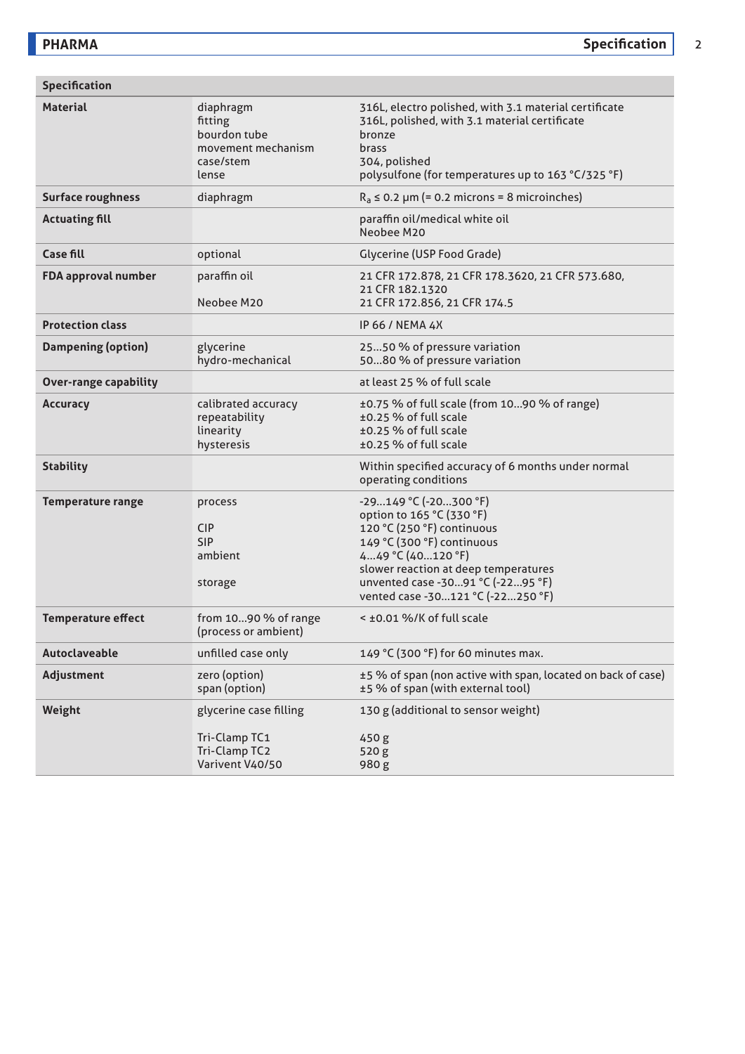| <b>Specification</b>         |                                                                                  |                                                                                                                                                                                                                                                       |  |  |  |  |
|------------------------------|----------------------------------------------------------------------------------|-------------------------------------------------------------------------------------------------------------------------------------------------------------------------------------------------------------------------------------------------------|--|--|--|--|
| <b>Material</b>              | diaphragm<br>fitting<br>bourdon tube<br>movement mechanism<br>case/stem<br>lense | 316L, electro polished, with 3.1 material certificate<br>316L, polished, with 3.1 material certificate<br>bronze<br>brass<br>304, polished<br>polysulfone (for temperatures up to 163 °C/325 °F)                                                      |  |  |  |  |
| <b>Surface roughness</b>     | diaphragm                                                                        | $R_a \le 0.2$ µm (= 0.2 microns = 8 microinches)                                                                                                                                                                                                      |  |  |  |  |
| <b>Actuating fill</b>        |                                                                                  | paraffin oil/medical white oil<br>Neobee M20                                                                                                                                                                                                          |  |  |  |  |
| <b>Case fill</b>             | optional                                                                         | Glycerine (USP Food Grade)                                                                                                                                                                                                                            |  |  |  |  |
| FDA approval number          | paraffin oil<br>Neobee M20                                                       | 21 CFR 172.878, 21 CFR 178.3620, 21 CFR 573.680,<br>21 CFR 182.1320<br>21 CFR 172.856, 21 CFR 174.5                                                                                                                                                   |  |  |  |  |
| <b>Protection class</b>      |                                                                                  | <b>IP 66 / NEMA 4X</b>                                                                                                                                                                                                                                |  |  |  |  |
| <b>Dampening (option)</b>    | glycerine<br>hydro-mechanical                                                    | 2550 % of pressure variation<br>5080 % of pressure variation                                                                                                                                                                                          |  |  |  |  |
| <b>Over-range capability</b> |                                                                                  | at least 25 % of full scale                                                                                                                                                                                                                           |  |  |  |  |
| <b>Accuracy</b>              | calibrated accuracy<br>repeatability<br>linearity<br>hysteresis                  | ±0.75 % of full scale (from 1090 % of range)<br>±0.25 % of full scale<br>±0.25 % of full scale<br>±0.25 % of full scale                                                                                                                               |  |  |  |  |
| <b>Stability</b>             |                                                                                  | Within specified accuracy of 6 months under normal<br>operating conditions                                                                                                                                                                            |  |  |  |  |
| <b>Temperature range</b>     | process<br><b>CIP</b><br><b>SIP</b><br>ambient<br>storage                        | -29149 °C (-20300 °F)<br>option to 165 °C (330 °F)<br>120 °C (250 °F) continuous<br>149 °C (300 °F) continuous<br>449 °C (40120 °F)<br>slower reaction at deep temperatures<br>unvented case -3091 °C (-2295 °F)<br>vented case -30121 °C (-22250 °F) |  |  |  |  |
| <b>Temperature effect</b>    | from 1090 % of range<br>(process or ambient)                                     | < ±0.01 %/K of full scale                                                                                                                                                                                                                             |  |  |  |  |
| Autoclaveable                | unfilled case only                                                               | 149 °C (300 °F) for 60 minutes max.                                                                                                                                                                                                                   |  |  |  |  |
| Adjustment                   | zero (option)<br>span (option)                                                   | ±5 % of span (non active with span, located on back of case)<br>±5 % of span (with external tool)                                                                                                                                                     |  |  |  |  |
| Weight                       | glycerine case filling<br>Tri-Clamp TC1<br>Tri-Clamp TC2<br>Varivent V40/50      | 130 g (additional to sensor weight)<br>450 g<br>520 <sub>g</sub><br>980g                                                                                                                                                                              |  |  |  |  |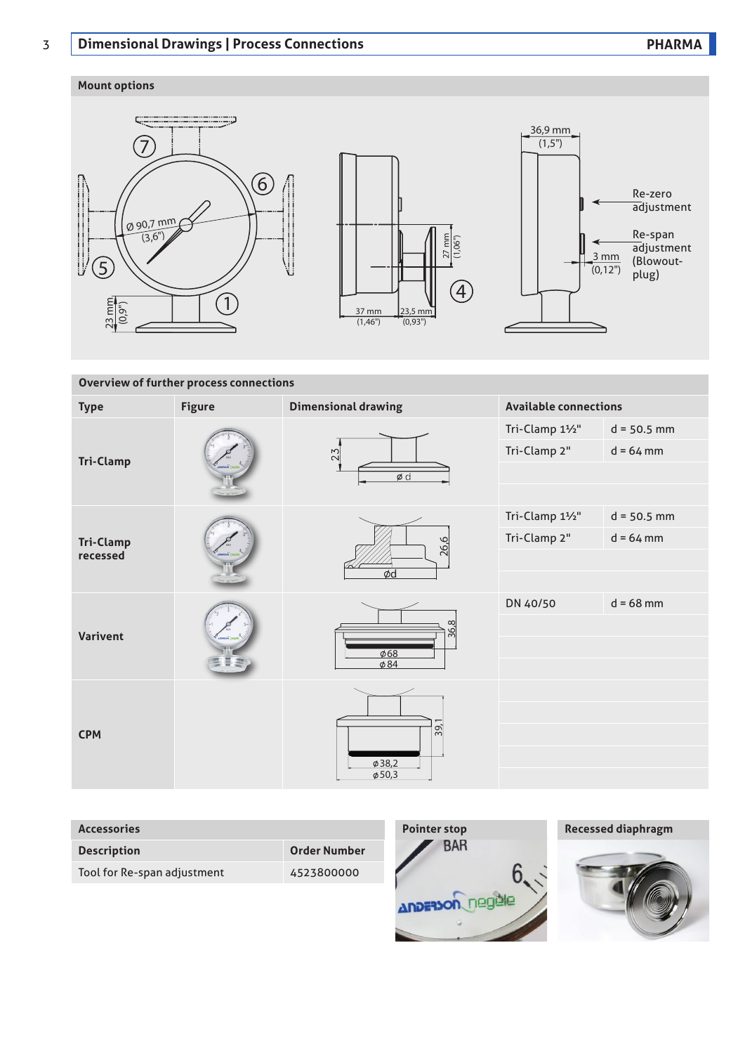# 3 **Dimensional Drawings | Process Connections PHARMA**

## **Mount options**



## **Overview of further process connections**

| <b>Type</b>                  | <b>Figure</b> | <b>Dimensional drawing</b>        | <b>Available connections</b>    |                              |  |
|------------------------------|---------------|-----------------------------------|---------------------------------|------------------------------|--|
| <b>Tri-Clamp</b>             |               | 23<br>$\phi$ d                    | Tri-Clamp 11/2"<br>Tri-Clamp 2" | $d = 50.5$ mm<br>$d = 64$ mm |  |
| <b>Tri-Clamp</b><br>recessed |               | 26,6                              | Tri-Clamp 11/2"<br>Tri-Clamp 2" | $d = 50.5$ mm<br>$d = 64$ mm |  |
|                              |               | Ød                                | DN 40/50                        | $d = 68$ mm                  |  |
| <b>Varivent</b>              |               | 36.8<br>$\phi$ 68<br>$\phi$ 84    |                                 |                              |  |
| <b>CPM</b>                   |               | 39,<br>$\phi$ 38,2<br>$\phi$ 50,3 |                                 |                              |  |

| <b>Accessories</b>          |                     | <b>Pointer stop</b>    | <b>Recessed diaphragm</b> |  |  |
|-----------------------------|---------------------|------------------------|---------------------------|--|--|
| <b>Description</b>          | <b>Order Number</b> | <b>BAR</b>             |                           |  |  |
| Tool for Re-span adjustment | 4523800000          | <b>Anderson</b> negele |                           |  |  |